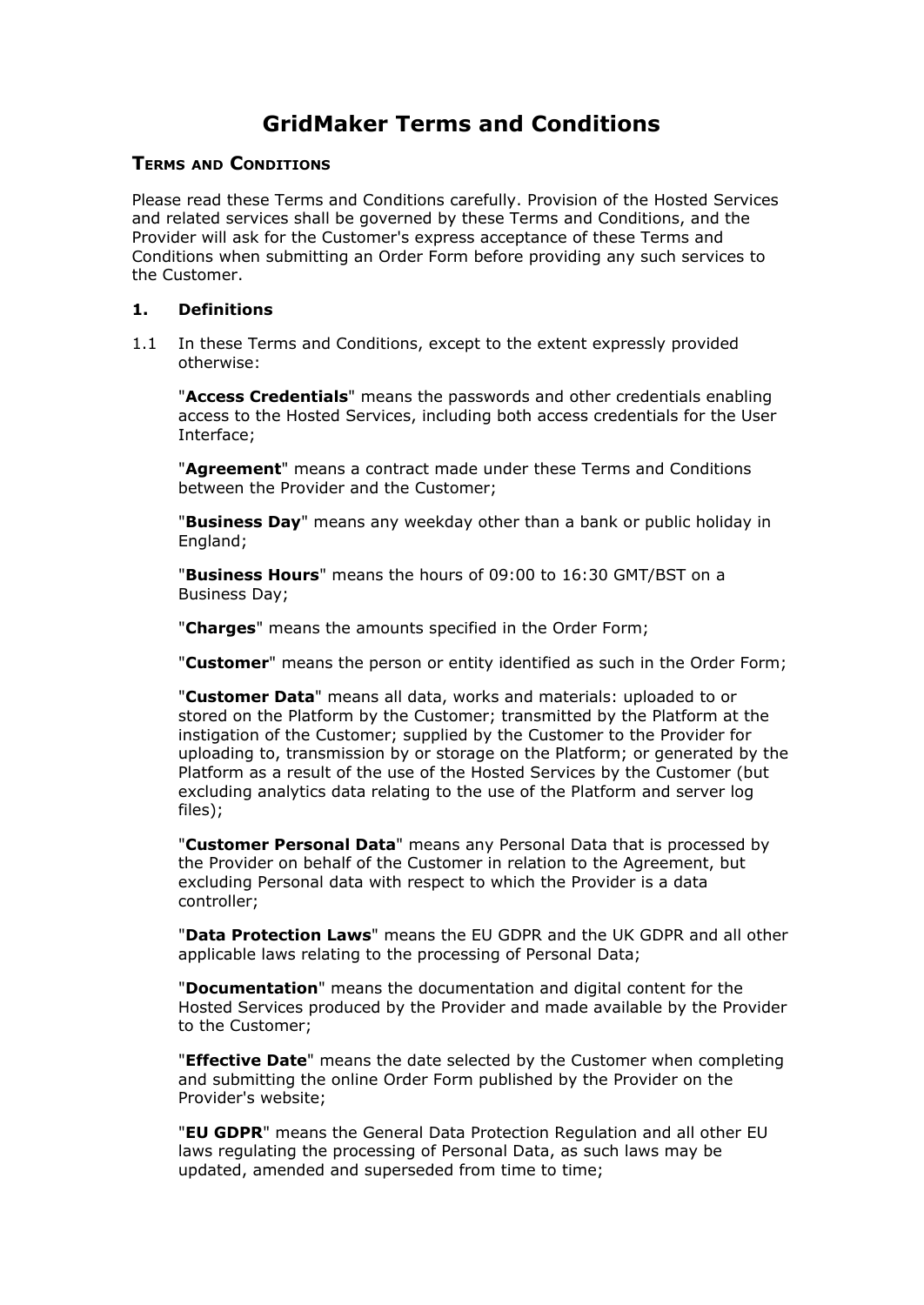# **GridMaker Terms and Conditions**

#### **TERMS AND CONDITIONS**

Please read these Terms and Conditions carefully. Provision of the Hosted Services and related services shall be governed by these Terms and Conditions, and the Provider will ask for the Customer's express acceptance of these Terms and Conditions when submitting an Order Form before providing any such services to the Customer.

#### **1. Definitions**

1.1 In these Terms and Conditions, except to the extent expressly provided otherwise:

"**Access Credentials**" means the passwords and other credentials enabling access to the Hosted Services, including both access credentials for the User Interface;

"**Agreement**" means a contract made under these Terms and Conditions between the Provider and the Customer;

"**Business Day**" means any weekday other than a bank or public holiday in England;

"**Business Hours**" means the hours of 09:00 to 16:30 GMT/BST on a Business Day;

"**Charges**" means the amounts specified in the Order Form;

"**Customer**" means the person or entity identified as such in the Order Form;

"**Customer Data**" means all data, works and materials: uploaded to or stored on the Platform by the Customer; transmitted by the Platform at the instigation of the Customer; supplied by the Customer to the Provider for uploading to, transmission by or storage on the Platform; or generated by the Platform as a result of the use of the Hosted Services by the Customer (but excluding analytics data relating to the use of the Platform and server log files);

"**Customer Personal Data**" means any Personal Data that is processed by the Provider on behalf of the Customer in relation to the Agreement, but excluding Personal data with respect to which the Provider is a data controller;

"**Data Protection Laws**" means the EU GDPR and the UK GDPR and all other applicable laws relating to the processing of Personal Data;

"**Documentation**" means the documentation and digital content for the Hosted Services produced by the Provider and made available by the Provider to the Customer;

"**Effective Date**" means the date selected by the Customer when completing and submitting the online Order Form published by the Provider on the Provider's website;

"**EU GDPR**" means the General Data Protection Regulation and all other EU laws regulating the processing of Personal Data, as such laws may be updated, amended and superseded from time to time;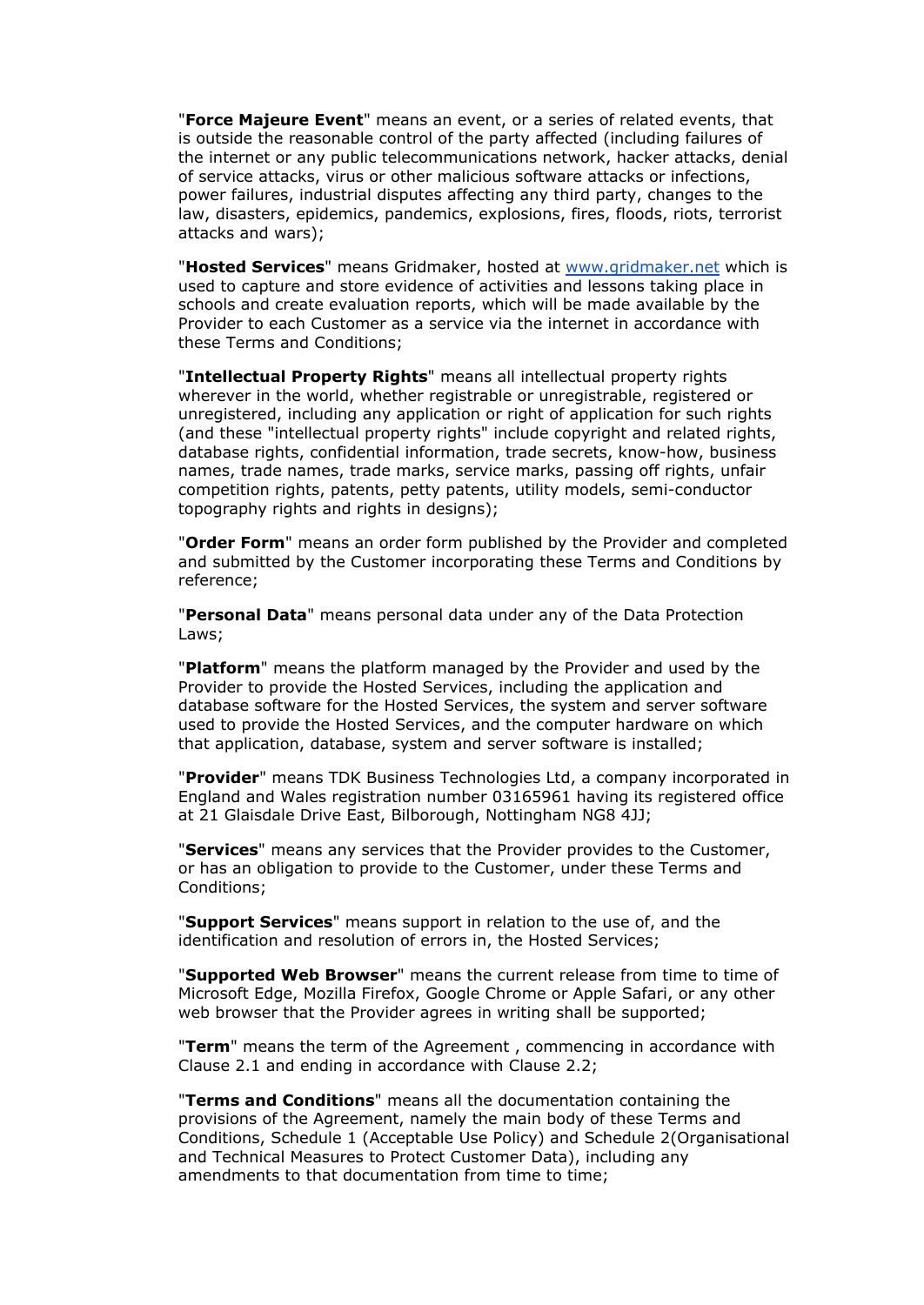"**Force Majeure Event**" means an event, or a series of related events, that is outside the reasonable control of the party affected (including failures of the internet or any public telecommunications network, hacker attacks, denial of service attacks, virus or other malicious software attacks or infections, power failures, industrial disputes affecting any third party, changes to the law, disasters, epidemics, pandemics, explosions, fires, floods, riots, terrorist attacks and wars);

"**Hosted Services**" means Gridmaker, hosted at [www.gridmaker.net](http://www.gridmaker.net) which is used to capture and store evidence of activities and lessons taking place in schools and create evaluation reports, which will be made available by the Provider to each Customer as a service via the internet in accordance with these Terms and Conditions;

"**Intellectual Property Rights**" means all intellectual property rights wherever in the world, whether registrable or unregistrable, registered or unregistered, including any application or right of application for such rights (and these "intellectual property rights" include copyright and related rights, database rights, confidential information, trade secrets, know-how, business names, trade names, trade marks, service marks, passing off rights, unfair competition rights, patents, petty patents, utility models, semi-conductor topography rights and rights in designs);

"**Order Form**" means an order form published by the Provider and completed and submitted by the Customer incorporating these Terms and Conditions by reference;

"**Personal Data**" means personal data under any of the Data Protection Laws;

"**Platform**" means the platform managed by the Provider and used by the Provider to provide the Hosted Services, including the application and database software for the Hosted Services, the system and server software used to provide the Hosted Services, and the computer hardware on which that application, database, system and server software is installed;

"**Provider**" means TDK Business Technologies Ltd, a company incorporated in England and Wales registration number 03165961 having its registered office at 21 Glaisdale Drive East, Bilborough, Nottingham NG8 4JJ;

"**Services**" means any services that the Provider provides to the Customer, or has an obligation to provide to the Customer, under these Terms and Conditions;

"**Support Services**" means support in relation to the use of, and the identification and resolution of errors in, the Hosted Services;

"**Supported Web Browser**" means the current release from time to time of Microsoft Edge, Mozilla Firefox, Google Chrome or Apple Safari, or any other web browser that the Provider agrees in writing shall be supported;

"**Term**" means the term of the Agreement , commencing in accordance with Clause 2.1 and ending in accordance with Clause 2.2;

"**Terms and Conditions**" means all the documentation containing the provisions of the Agreement, namely the main body of these Terms and Conditions, Schedule 1 (Acceptable Use Policy) and Schedule 2(Organisational and Technical Measures to Protect Customer Data), including any amendments to that documentation from time to time;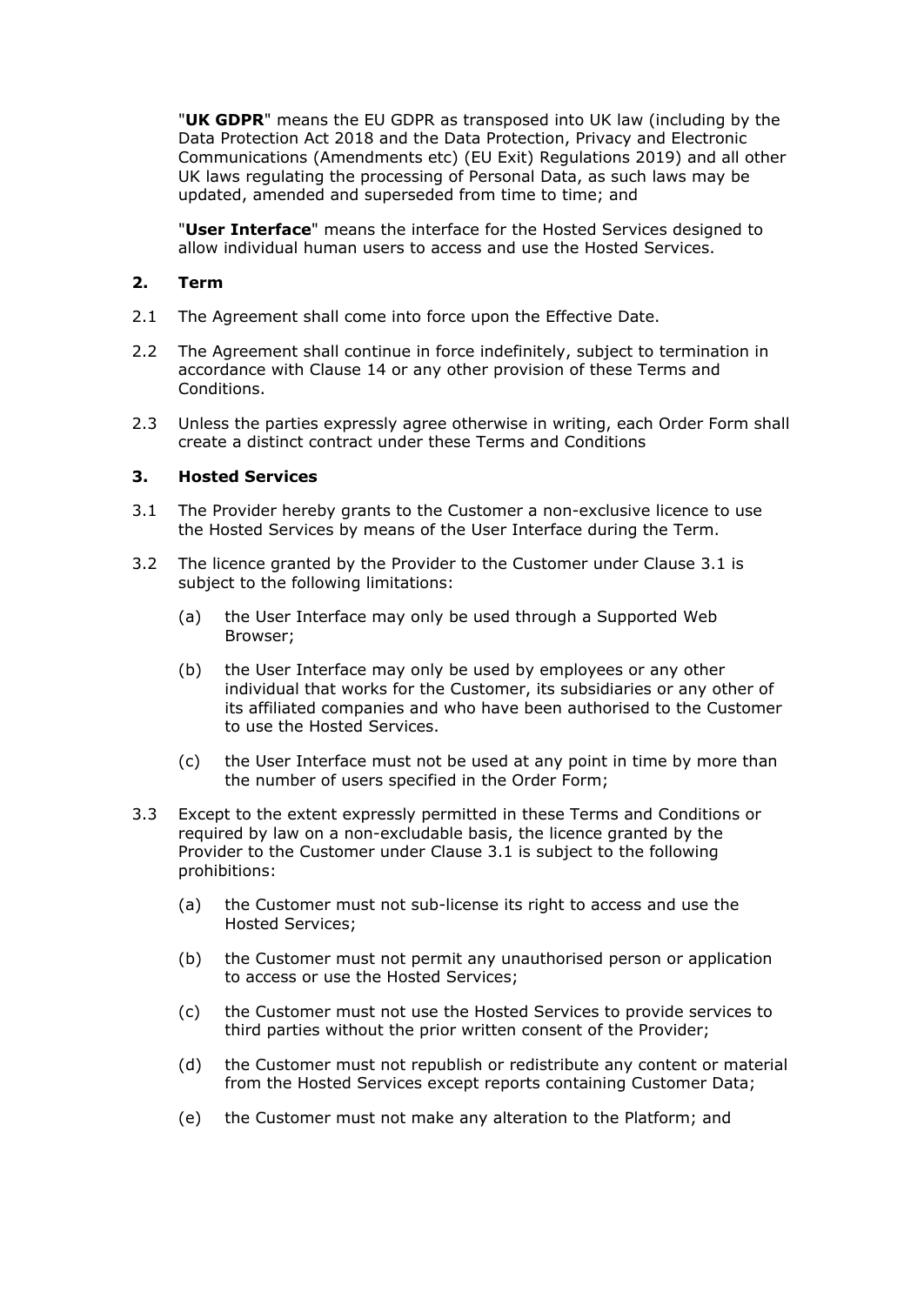"**UK GDPR**" means the EU GDPR as transposed into UK law (including by the Data Protection Act 2018 and the Data Protection, Privacy and Electronic Communications (Amendments etc) (EU Exit) Regulations 2019) and all other UK laws regulating the processing of Personal Data, as such laws may be updated, amended and superseded from time to time; and

"**User Interface**" means the interface for the Hosted Services designed to allow individual human users to access and use the Hosted Services.

#### **2. Term**

- 2.1 The Agreement shall come into force upon the Effective Date.
- 2.2 The Agreement shall continue in force indefinitely, subject to termination in accordance with Clause 14 or any other provision of these Terms and Conditions.
- 2.3 Unless the parties expressly agree otherwise in writing, each Order Form shall create a distinct contract under these Terms and Conditions

#### **3. Hosted Services**

- 3.1 The Provider hereby grants to the Customer a non-exclusive licence to use the Hosted Services by means of the User Interface during the Term.
- 3.2 The licence granted by the Provider to the Customer under Clause 3.1 is subject to the following limitations:
	- (a) the User Interface may only be used through a Supported Web Browser;
	- (b) the User Interface may only be used by employees or any other individual that works for the Customer, its subsidiaries or any other of its affiliated companies and who have been authorised to the Customer to use the Hosted Services.
	- (c) the User Interface must not be used at any point in time by more than the number of users specified in the Order Form;
- 3.3 Except to the extent expressly permitted in these Terms and Conditions or required by law on a non-excludable basis, the licence granted by the Provider to the Customer under Clause 3.1 is subject to the following prohibitions:
	- (a) the Customer must not sub-license its right to access and use the Hosted Services;
	- (b) the Customer must not permit any unauthorised person or application to access or use the Hosted Services;
	- (c) the Customer must not use the Hosted Services to provide services to third parties without the prior written consent of the Provider;
	- (d) the Customer must not republish or redistribute any content or material from the Hosted Services except reports containing Customer Data;
	- (e) the Customer must not make any alteration to the Platform; and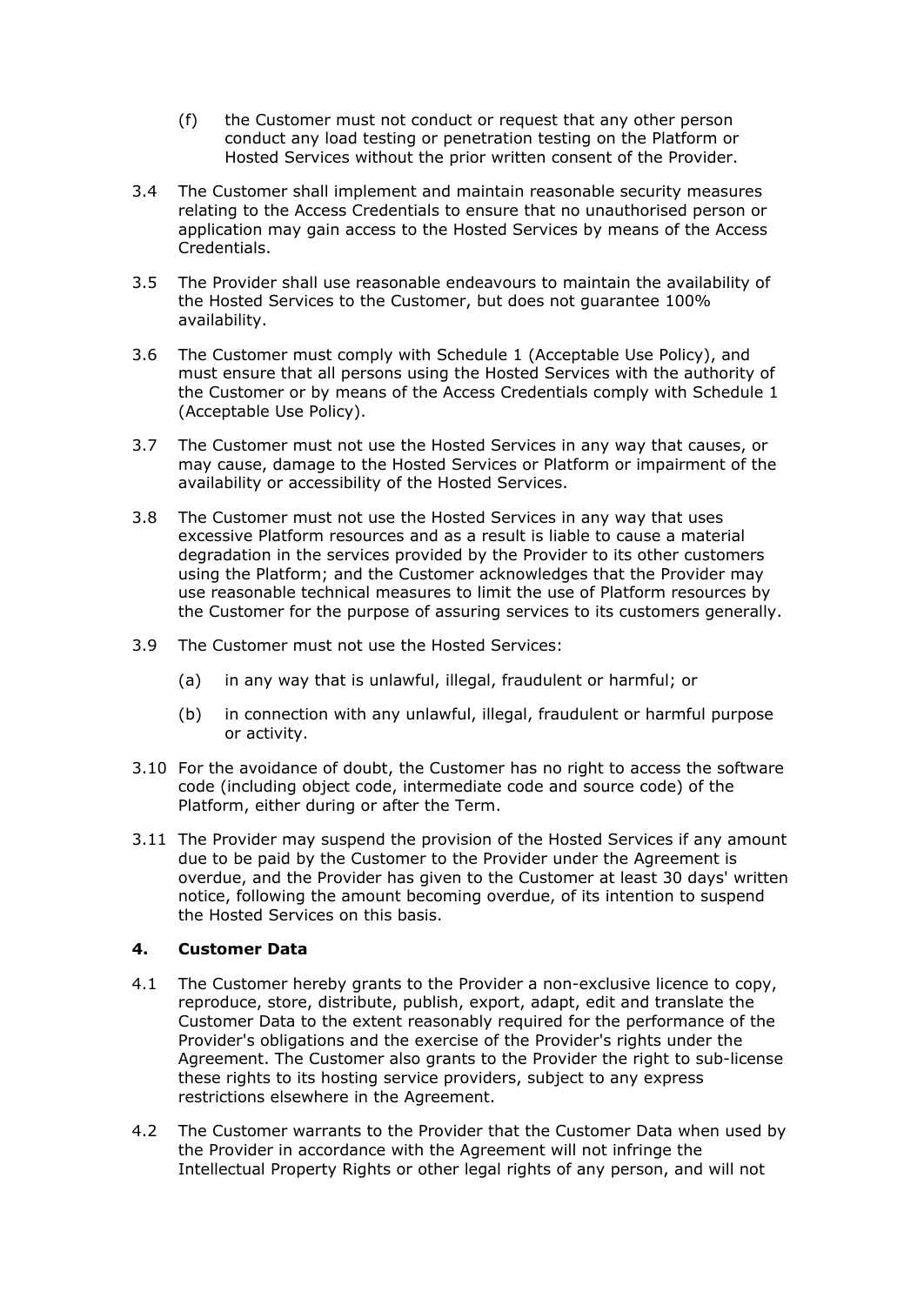- (f) the Customer must not conduct or request that any other person conduct any load testing or penetration testing on the Platform or Hosted Services without the prior written consent of the Provider.
- 3.4 The Customer shall implement and maintain reasonable security measures relating to the Access Credentials to ensure that no unauthorised person or application may gain access to the Hosted Services by means of the Access Credentials.
- 3.5 The Provider shall use reasonable endeavours to maintain the availability of the Hosted Services to the Customer, but does not guarantee 100% availability.
- 3.6 The Customer must comply with Schedule 1 (Acceptable Use Policy), and must ensure that all persons using the Hosted Services with the authority of the Customer or by means of the Access Credentials comply with Schedule 1 (Acceptable Use Policy).
- 3.7 The Customer must not use the Hosted Services in any way that causes, or may cause, damage to the Hosted Services or Platform or impairment of the availability or accessibility of the Hosted Services.
- 3.8 The Customer must not use the Hosted Services in any way that uses excessive Platform resources and as a result is liable to cause a material degradation in the services provided by the Provider to its other customers using the Platform; and the Customer acknowledges that the Provider may use reasonable technical measures to limit the use of Platform resources by the Customer for the purpose of assuring services to its customers generally.
- 3.9 The Customer must not use the Hosted Services:
	- (a) in any way that is unlawful, illegal, fraudulent or harmful; or
	- (b) in connection with any unlawful, illegal, fraudulent or harmful purpose or activity.
- 3.10 For the avoidance of doubt, the Customer has no right to access the software code (including object code, intermediate code and source code) of the Platform, either during or after the Term.
- 3.11 The Provider may suspend the provision of the Hosted Services if any amount due to be paid by the Customer to the Provider under the Agreement is overdue, and the Provider has given to the Customer at least 30 days' written notice, following the amount becoming overdue, of its intention to suspend the Hosted Services on this basis.

## **4. Customer Data**

- 4.1 The Customer hereby grants to the Provider a non-exclusive licence to copy, reproduce, store, distribute, publish, export, adapt, edit and translate the Customer Data to the extent reasonably required for the performance of the Provider's obligations and the exercise of the Provider's rights under the Agreement. The Customer also grants to the Provider the right to sub-license these rights to its hosting service providers, subject to any express restrictions elsewhere in the Agreement.
- 4.2 The Customer warrants to the Provider that the Customer Data when used by the Provider in accordance with the Agreement will not infringe the Intellectual Property Rights or other legal rights of any person, and will not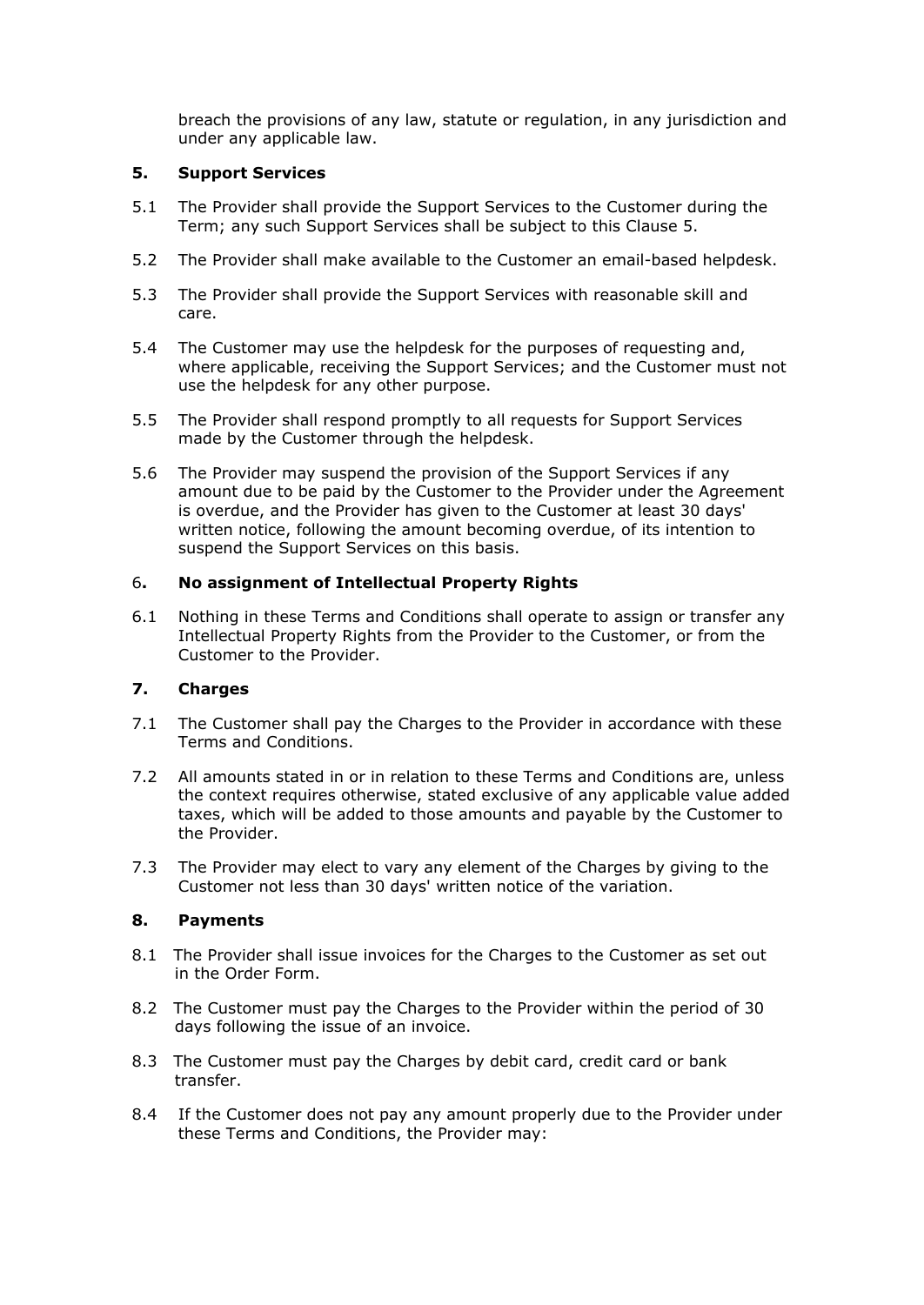breach the provisions of any law, statute or regulation, in any jurisdiction and under any applicable law.

#### **5. Support Services**

- 5.1 The Provider shall provide the Support Services to the Customer during the Term; any such Support Services shall be subject to this Clause 5.
- 5.2 The Provider shall make available to the Customer an email-based helpdesk.
- 5.3 The Provider shall provide the Support Services with reasonable skill and care.
- 5.4 The Customer may use the helpdesk for the purposes of requesting and, where applicable, receiving the Support Services; and the Customer must not use the helpdesk for any other purpose.
- 5.5 The Provider shall respond promptly to all requests for Support Services made by the Customer through the helpdesk.
- 5.6 The Provider may suspend the provision of the Support Services if any amount due to be paid by the Customer to the Provider under the Agreement is overdue, and the Provider has given to the Customer at least 30 days' written notice, following the amount becoming overdue, of its intention to suspend the Support Services on this basis.

#### 6**. No assignment of Intellectual Property Rights**

6.1 Nothing in these Terms and Conditions shall operate to assign or transfer any Intellectual Property Rights from the Provider to the Customer, or from the Customer to the Provider.

## **7. Charges**

- 7.1 The Customer shall pay the Charges to the Provider in accordance with these Terms and Conditions.
- 7.2 All amounts stated in or in relation to these Terms and Conditions are, unless the context requires otherwise, stated exclusive of any applicable value added taxes, which will be added to those amounts and payable by the Customer to the Provider.
- 7.3 The Provider may elect to vary any element of the Charges by giving to the Customer not less than 30 days' written notice of the variation.

#### **8. Payments**

- 8.1 The Provider shall issue invoices for the Charges to the Customer as set out in the Order Form.
- 8.2 The Customer must pay the Charges to the Provider within the period of 30 days following the issue of an invoice.
- 8.3 The Customer must pay the Charges by debit card, credit card or bank transfer.
- 8.4 If the Customer does not pay any amount properly due to the Provider under these Terms and Conditions, the Provider may: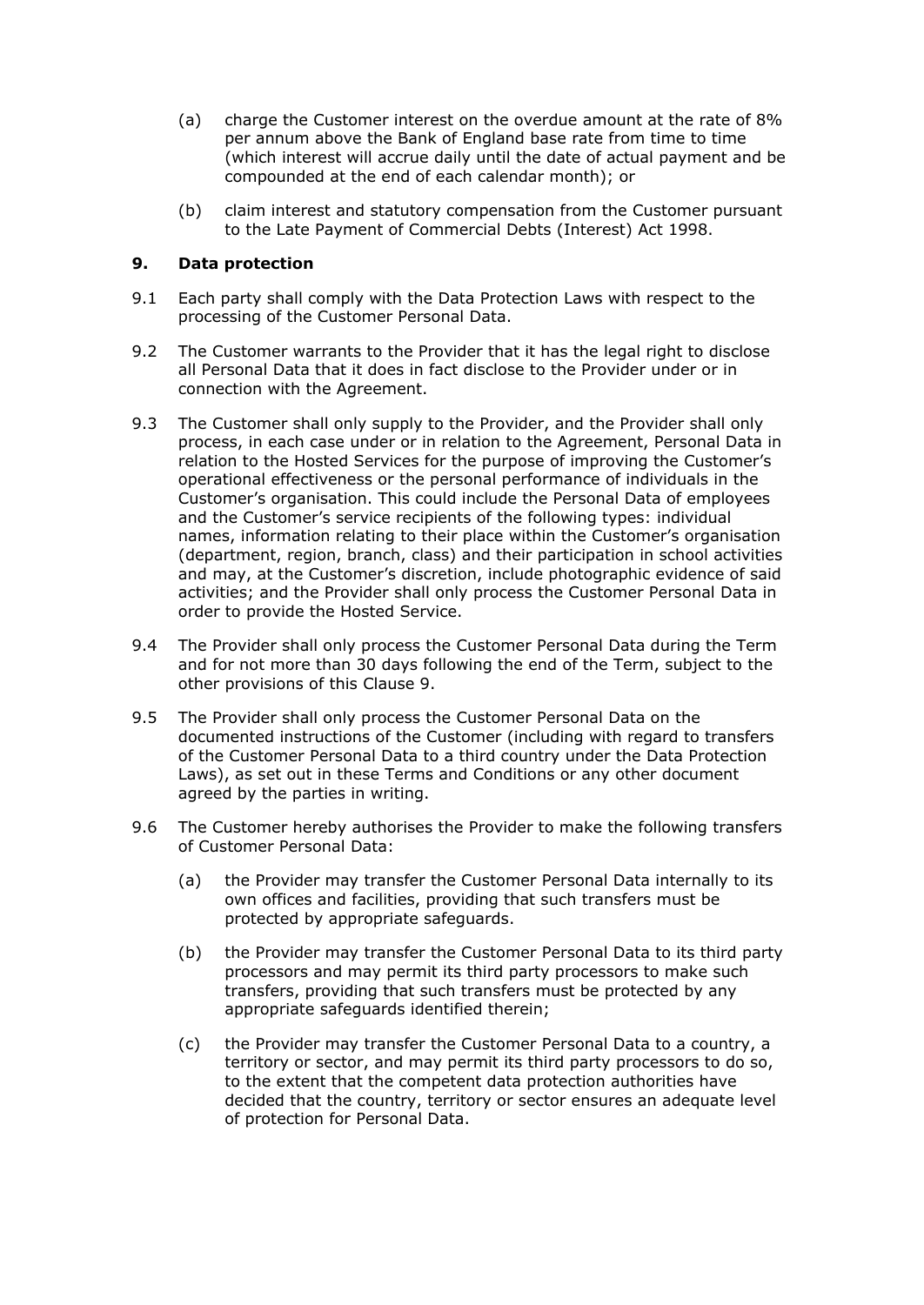- (a) charge the Customer interest on the overdue amount at the rate of 8% per annum above the Bank of England base rate from time to time (which interest will accrue daily until the date of actual payment and be compounded at the end of each calendar month); or
- (b) claim interest and statutory compensation from the Customer pursuant to the Late Payment of Commercial Debts (Interest) Act 1998.

#### **9. Data protection**

- 9.1 Each party shall comply with the Data Protection Laws with respect to the processing of the Customer Personal Data.
- 9.2 The Customer warrants to the Provider that it has the legal right to disclose all Personal Data that it does in fact disclose to the Provider under or in connection with the Agreement.
- 9.3 The Customer shall only supply to the Provider, and the Provider shall only process, in each case under or in relation to the Agreement, Personal Data in relation to the Hosted Services for the purpose of improving the Customer's operational effectiveness or the personal performance of individuals in the Customer's organisation. This could include the Personal Data of employees and the Customer's service recipients of the following types: individual names, information relating to their place within the Customer's organisation (department, region, branch, class) and their participation in school activities and may, at the Customer's discretion, include photographic evidence of said activities; and the Provider shall only process the Customer Personal Data in order to provide the Hosted Service.
- 9.4 The Provider shall only process the Customer Personal Data during the Term and for not more than 30 days following the end of the Term, subject to the other provisions of this Clause 9.
- 9.5 The Provider shall only process the Customer Personal Data on the documented instructions of the Customer (including with regard to transfers of the Customer Personal Data to a third country under the Data Protection Laws), as set out in these Terms and Conditions or any other document agreed by the parties in writing.
- 9.6 The Customer hereby authorises the Provider to make the following transfers of Customer Personal Data:
	- (a) the Provider may transfer the Customer Personal Data internally to its own offices and facilities, providing that such transfers must be protected by appropriate safeguards.
	- (b) the Provider may transfer the Customer Personal Data to its third party processors and may permit its third party processors to make such transfers, providing that such transfers must be protected by any appropriate safeguards identified therein;
	- (c) the Provider may transfer the Customer Personal Data to a country, a territory or sector, and may permit its third party processors to do so, to the extent that the competent data protection authorities have decided that the country, territory or sector ensures an adequate level of protection for Personal Data.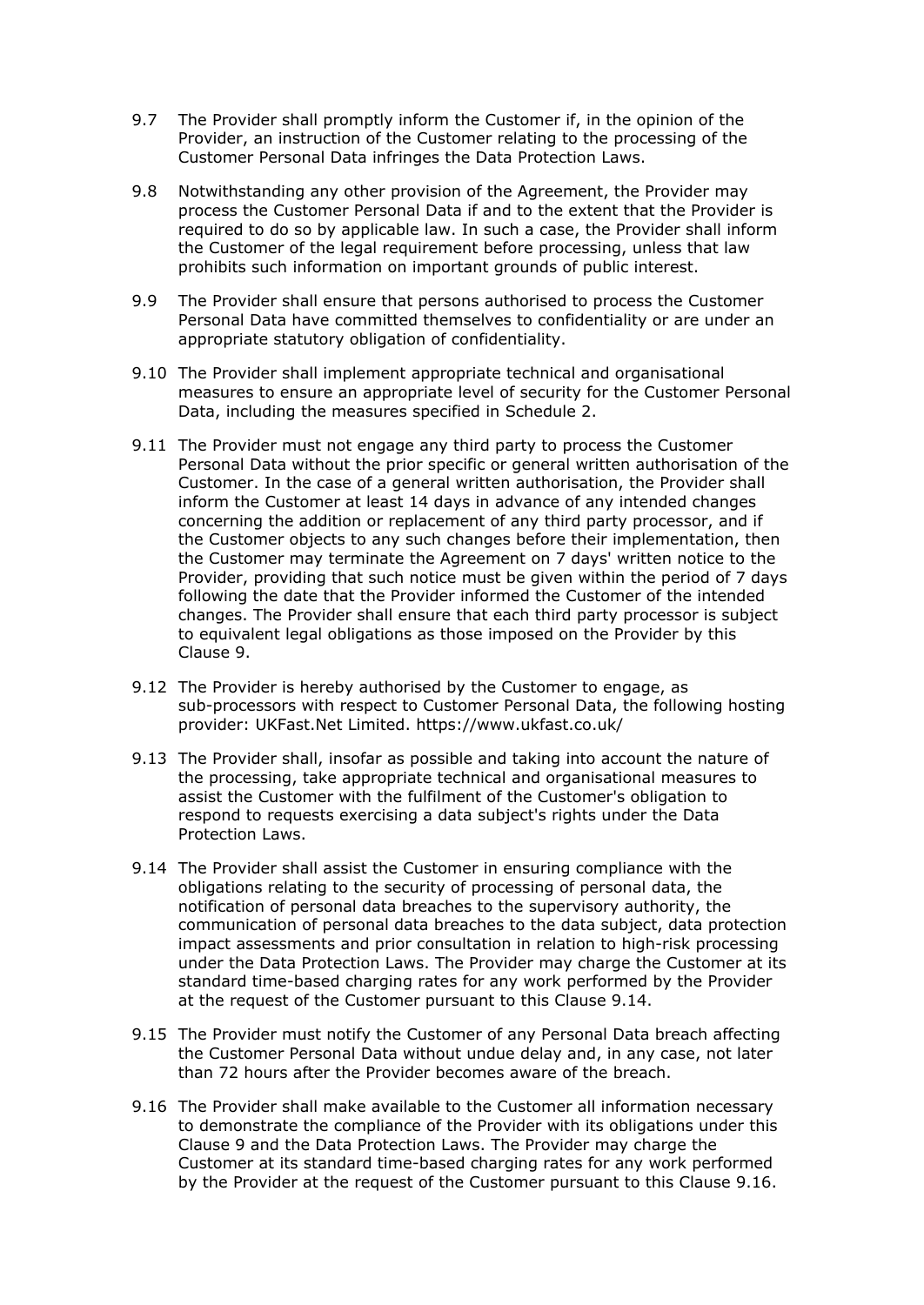- 9.7 The Provider shall promptly inform the Customer if, in the opinion of the Provider, an instruction of the Customer relating to the processing of the Customer Personal Data infringes the Data Protection Laws.
- 9.8 Notwithstanding any other provision of the Agreement, the Provider may process the Customer Personal Data if and to the extent that the Provider is required to do so by applicable law. In such a case, the Provider shall inform the Customer of the legal requirement before processing, unless that law prohibits such information on important grounds of public interest.
- 9.9 The Provider shall ensure that persons authorised to process the Customer Personal Data have committed themselves to confidentiality or are under an appropriate statutory obligation of confidentiality.
- 9.10 The Provider shall implement appropriate technical and organisational measures to ensure an appropriate level of security for the Customer Personal Data, including the measures specified in Schedule 2.
- 9.11 The Provider must not engage any third party to process the Customer Personal Data without the prior specific or general written authorisation of the Customer. In the case of a general written authorisation, the Provider shall inform the Customer at least 14 days in advance of any intended changes concerning the addition or replacement of any third party processor, and if the Customer objects to any such changes before their implementation, then the Customer may terminate the Agreement on 7 days' written notice to the Provider, providing that such notice must be given within the period of 7 days following the date that the Provider informed the Customer of the intended changes. The Provider shall ensure that each third party processor is subject to equivalent legal obligations as those imposed on the Provider by this Clause 9.
- 9.12 The Provider is hereby authorised by the Customer to engage, as sub-processors with respect to Customer Personal Data, the following hosting provider: UKFast.Net Limited. https://www.ukfast.co.uk/
- 9.13 The Provider shall, insofar as possible and taking into account the nature of the processing, take appropriate technical and organisational measures to assist the Customer with the fulfilment of the Customer's obligation to respond to requests exercising a data subject's rights under the Data Protection Laws.
- 9.14 The Provider shall assist the Customer in ensuring compliance with the obligations relating to the security of processing of personal data, the notification of personal data breaches to the supervisory authority, the communication of personal data breaches to the data subject, data protection impact assessments and prior consultation in relation to high-risk processing under the Data Protection Laws. The Provider may charge the Customer at its standard time-based charging rates for any work performed by the Provider at the request of the Customer pursuant to this Clause 9.14.
- 9.15 The Provider must notify the Customer of any Personal Data breach affecting the Customer Personal Data without undue delay and, in any case, not later than 72 hours after the Provider becomes aware of the breach.
- 9.16 The Provider shall make available to the Customer all information necessary to demonstrate the compliance of the Provider with its obligations under this Clause 9 and the Data Protection Laws. The Provider may charge the Customer at its standard time-based charging rates for any work performed by the Provider at the request of the Customer pursuant to this Clause 9.16.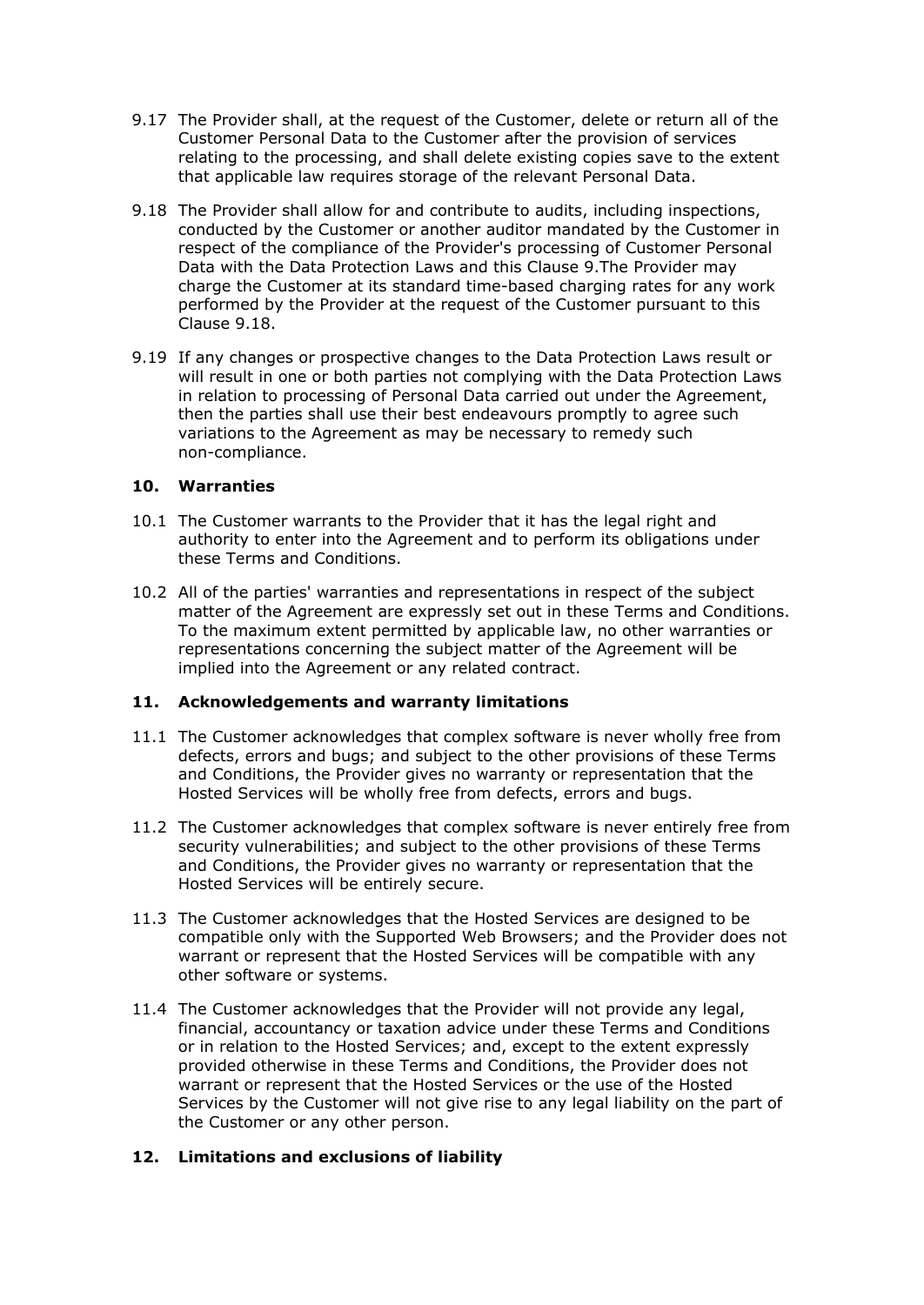- 9.17 The Provider shall, at the request of the Customer, delete or return all of the Customer Personal Data to the Customer after the provision of services relating to the processing, and shall delete existing copies save to the extent that applicable law requires storage of the relevant Personal Data.
- 9.18 The Provider shall allow for and contribute to audits, including inspections, conducted by the Customer or another auditor mandated by the Customer in respect of the compliance of the Provider's processing of Customer Personal Data with the Data Protection Laws and this Clause 9.The Provider may charge the Customer at its standard time-based charging rates for any work performed by the Provider at the request of the Customer pursuant to this Clause 9.18.
- 9.19 If any changes or prospective changes to the Data Protection Laws result or will result in one or both parties not complying with the Data Protection Laws in relation to processing of Personal Data carried out under the Agreement, then the parties shall use their best endeavours promptly to agree such variations to the Agreement as may be necessary to remedy such non-compliance.

#### **10. Warranties**

- 10.1 The Customer warrants to the Provider that it has the legal right and authority to enter into the Agreement and to perform its obligations under these Terms and Conditions.
- 10.2 All of the parties' warranties and representations in respect of the subject matter of the Agreement are expressly set out in these Terms and Conditions. To the maximum extent permitted by applicable law, no other warranties or representations concerning the subject matter of the Agreement will be implied into the Agreement or any related contract.

#### **11. Acknowledgements and warranty limitations**

- 11.1 The Customer acknowledges that complex software is never wholly free from defects, errors and bugs; and subject to the other provisions of these Terms and Conditions, the Provider gives no warranty or representation that the Hosted Services will be wholly free from defects, errors and bugs.
- 11.2 The Customer acknowledges that complex software is never entirely free from security vulnerabilities; and subject to the other provisions of these Terms and Conditions, the Provider gives no warranty or representation that the Hosted Services will be entirely secure.
- 11.3 The Customer acknowledges that the Hosted Services are designed to be compatible only with the Supported Web Browsers; and the Provider does not warrant or represent that the Hosted Services will be compatible with any other software or systems.
- 11.4 The Customer acknowledges that the Provider will not provide any legal, financial, accountancy or taxation advice under these Terms and Conditions or in relation to the Hosted Services; and, except to the extent expressly provided otherwise in these Terms and Conditions, the Provider does not warrant or represent that the Hosted Services or the use of the Hosted Services by the Customer will not give rise to any legal liability on the part of the Customer or any other person.

## **12. Limitations and exclusions of liability**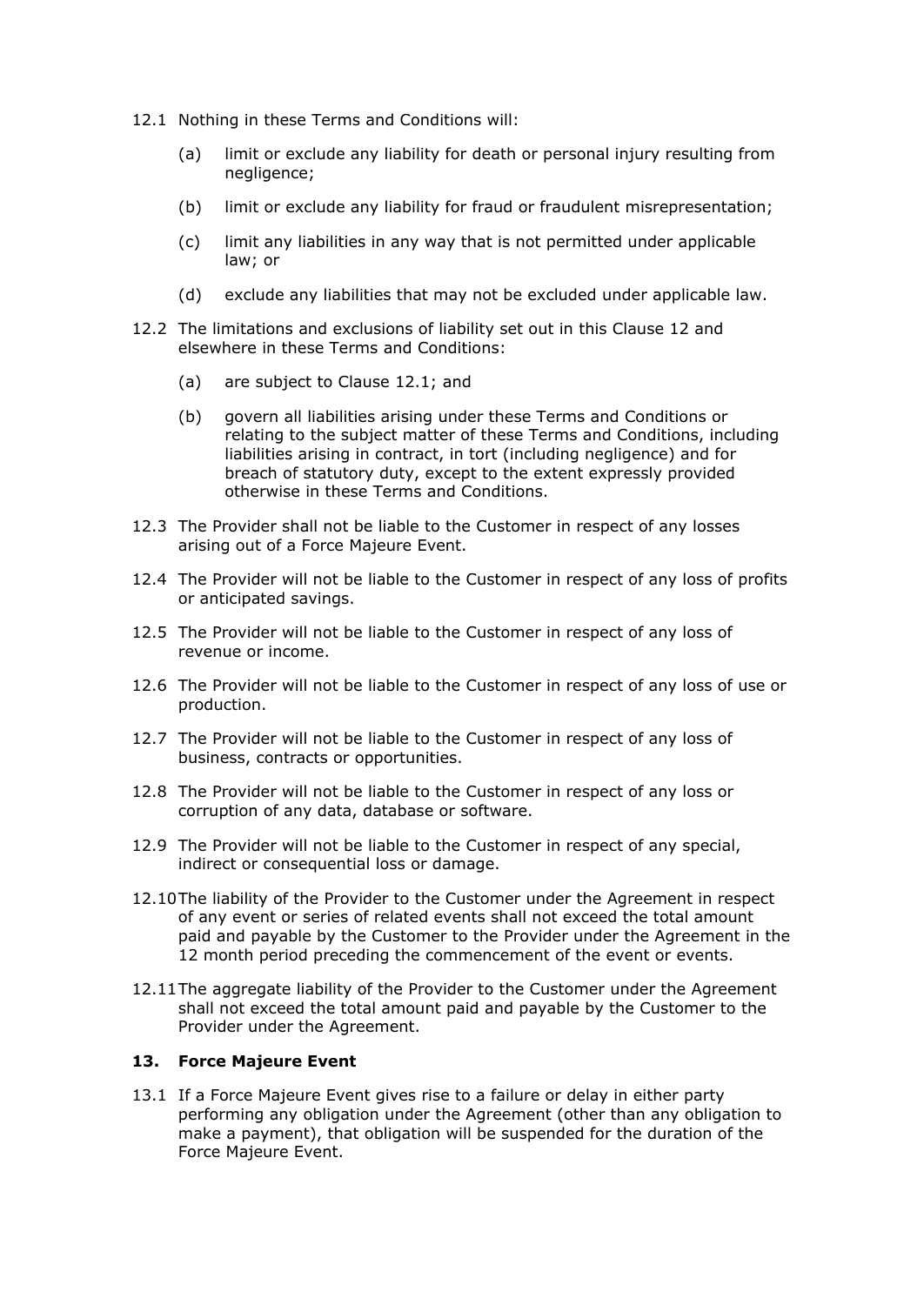- 12.1 Nothing in these Terms and Conditions will:
	- (a) limit or exclude any liability for death or personal injury resulting from negligence;
	- (b) limit or exclude any liability for fraud or fraudulent misrepresentation;
	- (c) limit any liabilities in any way that is not permitted under applicable law; or
	- (d) exclude any liabilities that may not be excluded under applicable law.
- 12.2 The limitations and exclusions of liability set out in this Clause 12 and elsewhere in these Terms and Conditions:
	- (a) are subject to Clause 12.1; and
	- (b) govern all liabilities arising under these Terms and Conditions or relating to the subject matter of these Terms and Conditions, including liabilities arising in contract, in tort (including negligence) and for breach of statutory duty, except to the extent expressly provided otherwise in these Terms and Conditions.
- 12.3 The Provider shall not be liable to the Customer in respect of any losses arising out of a Force Majeure Event.
- 12.4 The Provider will not be liable to the Customer in respect of any loss of profits or anticipated savings.
- 12.5 The Provider will not be liable to the Customer in respect of any loss of revenue or income.
- 12.6 The Provider will not be liable to the Customer in respect of any loss of use or production.
- 12.7 The Provider will not be liable to the Customer in respect of any loss of business, contracts or opportunities.
- 12.8 The Provider will not be liable to the Customer in respect of any loss or corruption of any data, database or software.
- 12.9 The Provider will not be liable to the Customer in respect of any special, indirect or consequential loss or damage.
- 12.10The liability of the Provider to the Customer under the Agreement in respect of any event or series of related events shall not exceed the total amount paid and payable by the Customer to the Provider under the Agreement in the 12 month period preceding the commencement of the event or events.
- 12.11The aggregate liability of the Provider to the Customer under the Agreement shall not exceed the total amount paid and payable by the Customer to the Provider under the Agreement.

#### **13. Force Majeure Event**

13.1 If a Force Majeure Event gives rise to a failure or delay in either party performing any obligation under the Agreement (other than any obligation to make a payment), that obligation will be suspended for the duration of the Force Majeure Event.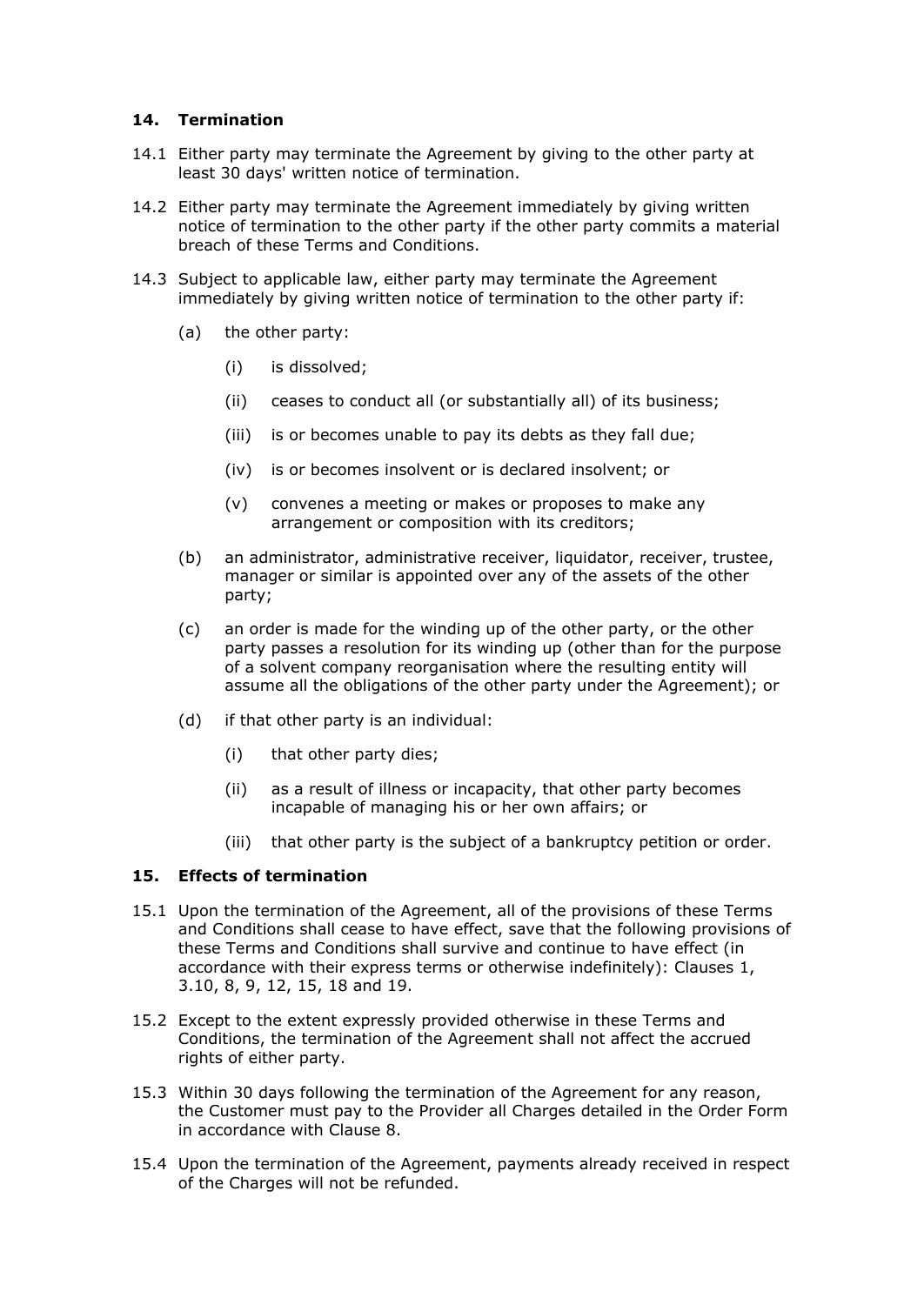#### **14. Termination**

- 14.1 Either party may terminate the Agreement by giving to the other party at least 30 days' written notice of termination.
- 14.2 Either party may terminate the Agreement immediately by giving written notice of termination to the other party if the other party commits a material breach of these Terms and Conditions.
- 14.3 Subject to applicable law, either party may terminate the Agreement immediately by giving written notice of termination to the other party if:
	- (a) the other party:
		- (i) is dissolved;
		- (ii) ceases to conduct all (or substantially all) of its business;
		- (iii) is or becomes unable to pay its debts as they fall due;
		- (iv) is or becomes insolvent or is declared insolvent; or
		- (v) convenes a meeting or makes or proposes to make any arrangement or composition with its creditors;
	- (b) an administrator, administrative receiver, liquidator, receiver, trustee, manager or similar is appointed over any of the assets of the other party;
	- (c) an order is made for the winding up of the other party, or the other party passes a resolution for its winding up (other than for the purpose of a solvent company reorganisation where the resulting entity will assume all the obligations of the other party under the Agreement); or
	- (d) if that other party is an individual:
		- (i) that other party dies;
		- (ii) as a result of illness or incapacity, that other party becomes incapable of managing his or her own affairs; or
		- (iii) that other party is the subject of a bankruptcy petition or order.

## **15. Effects of termination**

- 15.1 Upon the termination of the Agreement, all of the provisions of these Terms and Conditions shall cease to have effect, save that the following provisions of these Terms and Conditions shall survive and continue to have effect (in accordance with their express terms or otherwise indefinitely): Clauses 1, 3.10, 8, 9, 12, 15, 18 and 19.
- 15.2 Except to the extent expressly provided otherwise in these Terms and Conditions, the termination of the Agreement shall not affect the accrued rights of either party.
- 15.3 Within 30 days following the termination of the Agreement for any reason, the Customer must pay to the Provider all Charges detailed in the Order Form in accordance with Clause 8.
- 15.4 Upon the termination of the Agreement, payments already received in respect of the Charges will not be refunded.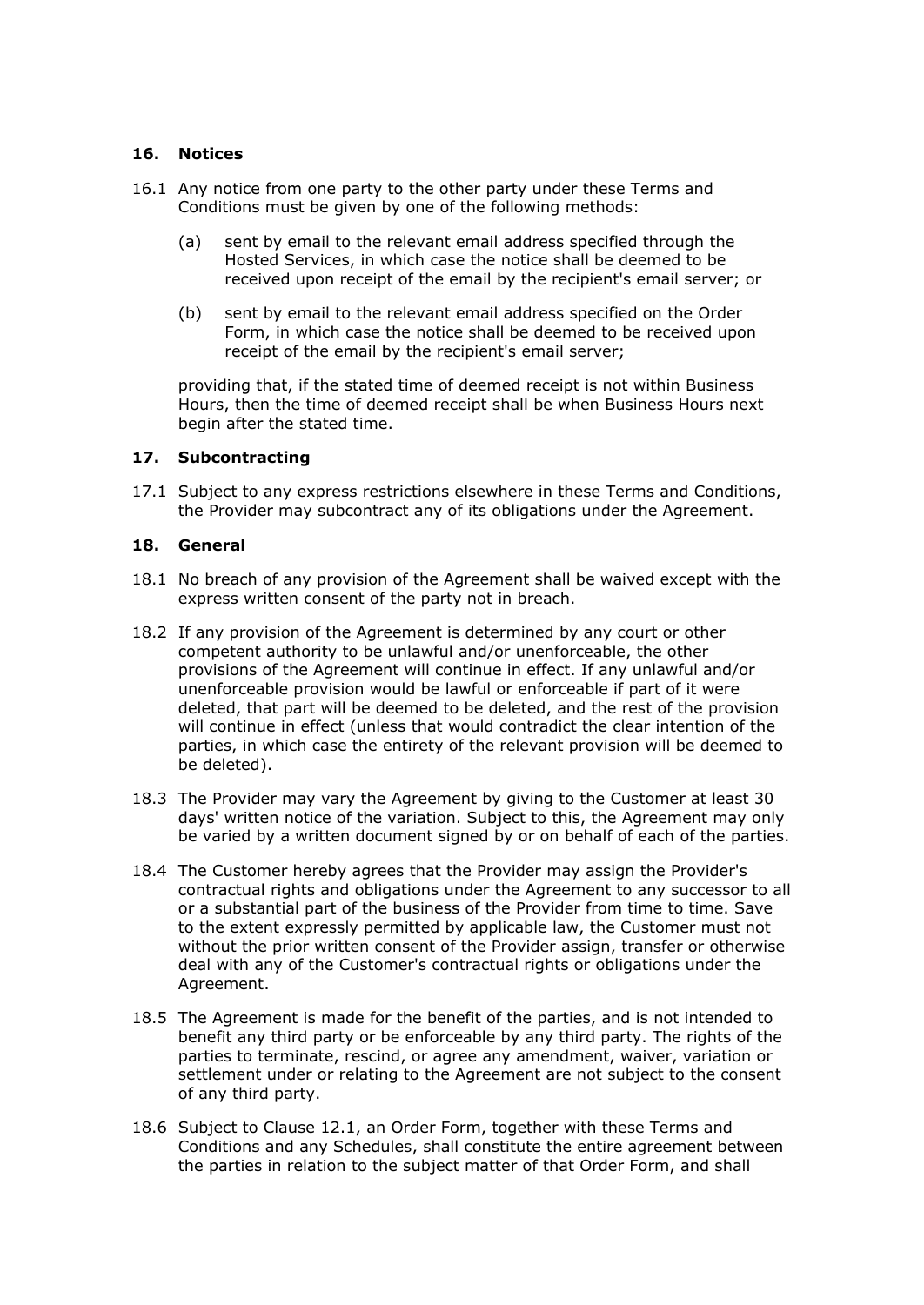#### **16. Notices**

- 16.1 Any notice from one party to the other party under these Terms and Conditions must be given by one of the following methods:
	- (a) sent by email to the relevant email address specified through the Hosted Services, in which case the notice shall be deemed to be received upon receipt of the email by the recipient's email server; or
	- (b) sent by email to the relevant email address specified on the Order Form, in which case the notice shall be deemed to be received upon receipt of the email by the recipient's email server;

providing that, if the stated time of deemed receipt is not within Business Hours, then the time of deemed receipt shall be when Business Hours next begin after the stated time.

#### **17. Subcontracting**

17.1 Subject to any express restrictions elsewhere in these Terms and Conditions, the Provider may subcontract any of its obligations under the Agreement.

#### **18. General**

- 18.1 No breach of any provision of the Agreement shall be waived except with the express written consent of the party not in breach.
- 18.2 If any provision of the Agreement is determined by any court or other competent authority to be unlawful and/or unenforceable, the other provisions of the Agreement will continue in effect. If any unlawful and/or unenforceable provision would be lawful or enforceable if part of it were deleted, that part will be deemed to be deleted, and the rest of the provision will continue in effect (unless that would contradict the clear intention of the parties, in which case the entirety of the relevant provision will be deemed to be deleted).
- 18.3 The Provider may vary the Agreement by giving to the Customer at least 30 days' written notice of the variation. Subject to this, the Agreement may only be varied by a written document signed by or on behalf of each of the parties.
- 18.4 The Customer hereby agrees that the Provider may assign the Provider's contractual rights and obligations under the Agreement to any successor to all or a substantial part of the business of the Provider from time to time. Save to the extent expressly permitted by applicable law, the Customer must not without the prior written consent of the Provider assign, transfer or otherwise deal with any of the Customer's contractual rights or obligations under the Agreement.
- 18.5 The Agreement is made for the benefit of the parties, and is not intended to benefit any third party or be enforceable by any third party. The rights of the parties to terminate, rescind, or agree any amendment, waiver, variation or settlement under or relating to the Agreement are not subject to the consent of any third party.
- 18.6 Subject to Clause 12.1, an Order Form, together with these Terms and Conditions and any Schedules, shall constitute the entire agreement between the parties in relation to the subject matter of that Order Form, and shall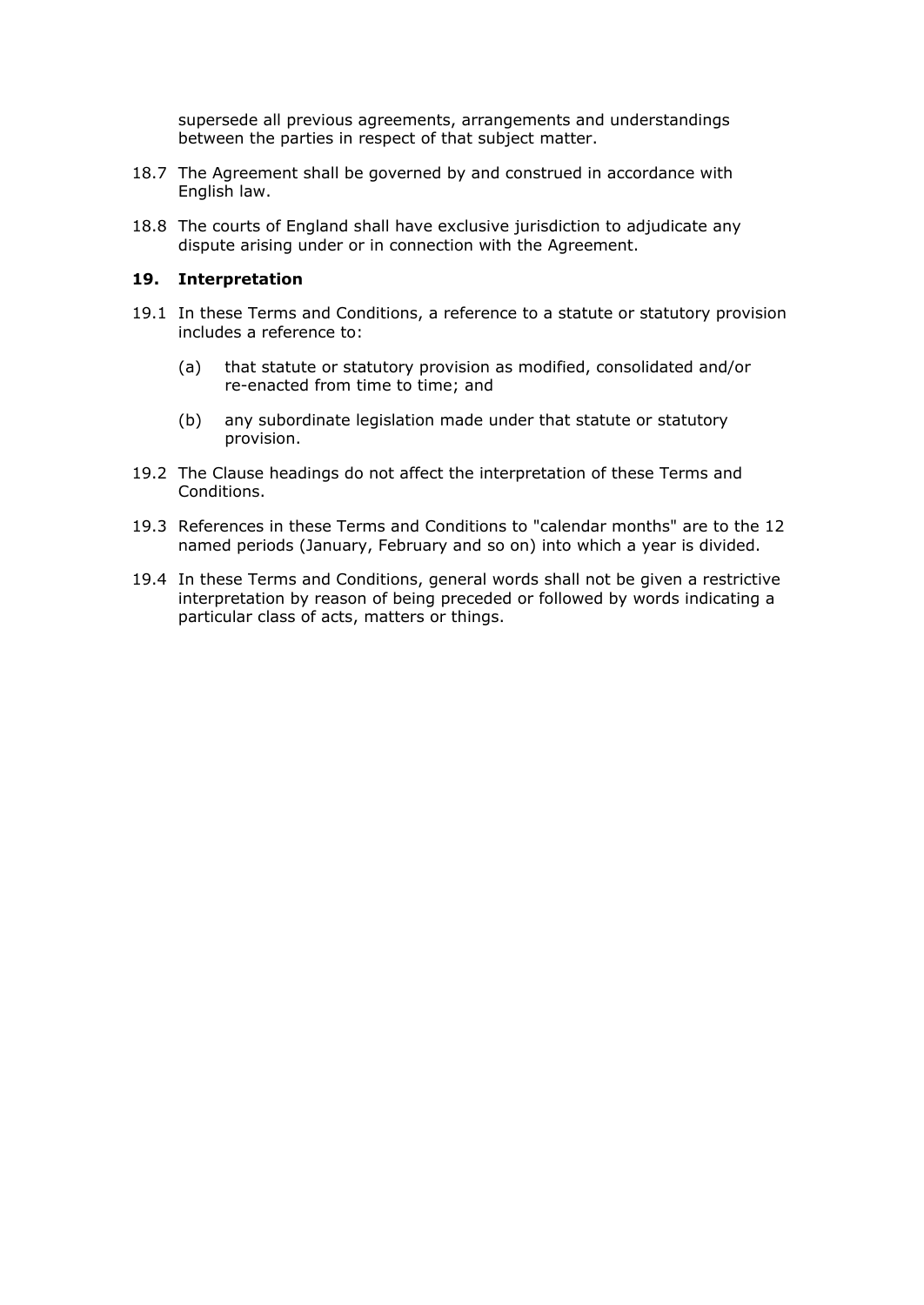supersede all previous agreements, arrangements and understandings between the parties in respect of that subject matter.

- 18.7 The Agreement shall be governed by and construed in accordance with English law.
- 18.8 The courts of England shall have exclusive jurisdiction to adjudicate any dispute arising under or in connection with the Agreement.

#### **19. Interpretation**

- 19.1 In these Terms and Conditions, a reference to a statute or statutory provision includes a reference to:
	- (a) that statute or statutory provision as modified, consolidated and/or re-enacted from time to time; and
	- (b) any subordinate legislation made under that statute or statutory provision.
- 19.2 The Clause headings do not affect the interpretation of these Terms and Conditions.
- 19.3 References in these Terms and Conditions to "calendar months" are to the 12 named periods (January, February and so on) into which a year is divided.
- 19.4 In these Terms and Conditions, general words shall not be given a restrictive interpretation by reason of being preceded or followed by words indicating a particular class of acts, matters or things.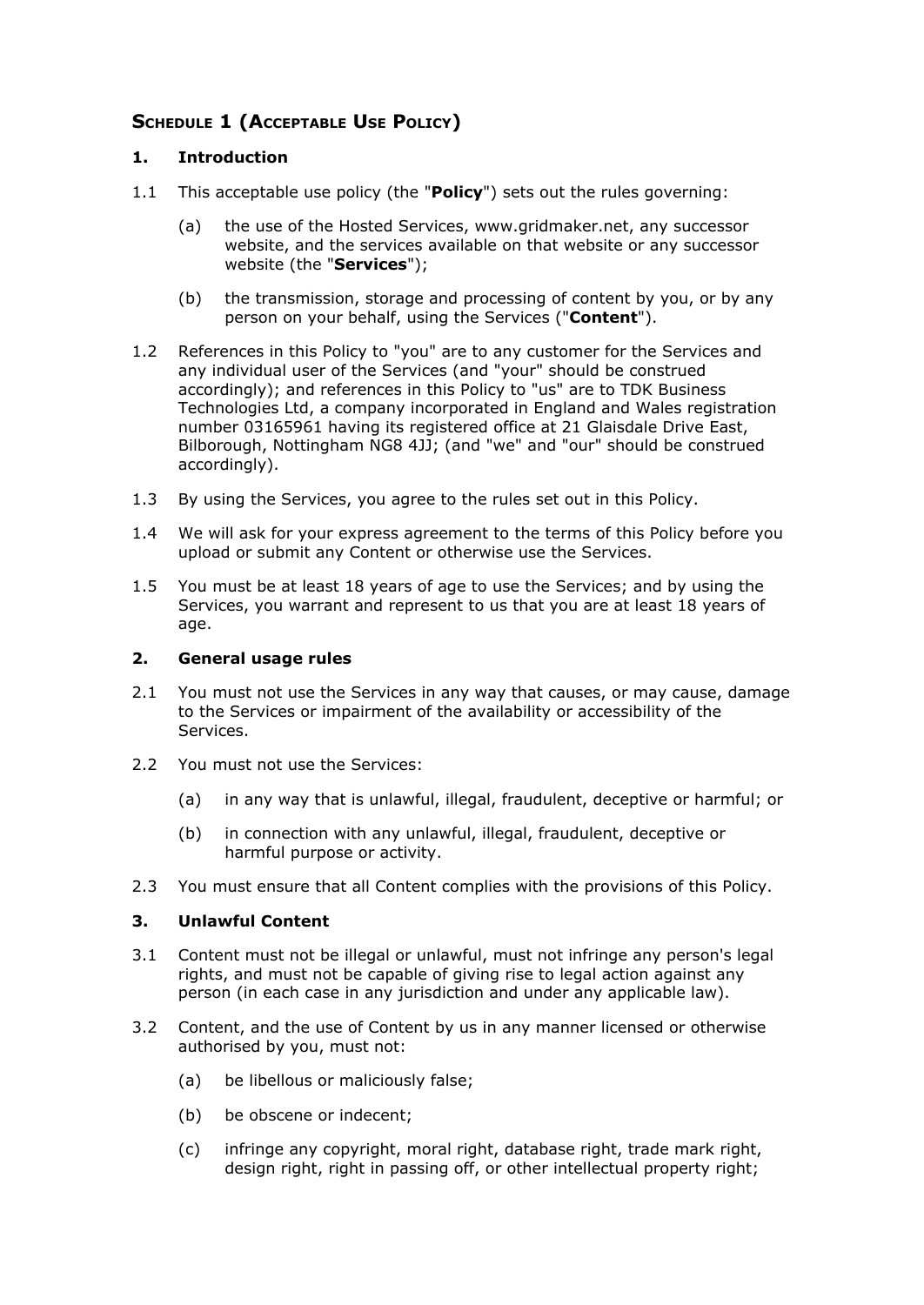## **SCHEDULE 1 (ACCEPTABLE USE POLICY)**

## **1. Introduction**

- 1.1 This acceptable use policy (the "**Policy**") sets out the rules governing:
	- (a) the use of the Hosted Services, www.gridmaker.net, any successor website, and the services available on that website or any successor website (the "**Services**");
	- (b) the transmission, storage and processing of content by you, or by any person on your behalf, using the Services ("**Content**").
- 1.2 References in this Policy to "you" are to any customer for the Services and any individual user of the Services (and "your" should be construed accordingly); and references in this Policy to "us" are to TDK Business Technologies Ltd, a company incorporated in England and Wales registration number 03165961 having its registered office at 21 Glaisdale Drive East, Bilborough, Nottingham NG8 4JJ; (and "we" and "our" should be construed accordingly).
- 1.3 By using the Services, you agree to the rules set out in this Policy.
- 1.4 We will ask for your express agreement to the terms of this Policy before you upload or submit any Content or otherwise use the Services.
- 1.5 You must be at least 18 years of age to use the Services; and by using the Services, you warrant and represent to us that you are at least 18 years of age.

#### **2. General usage rules**

- 2.1 You must not use the Services in any way that causes, or may cause, damage to the Services or impairment of the availability or accessibility of the Services.
- 2.2 You must not use the Services:
	- (a) in any way that is unlawful, illegal, fraudulent, deceptive or harmful; or
	- (b) in connection with any unlawful, illegal, fraudulent, deceptive or harmful purpose or activity.
- 2.3 You must ensure that all Content complies with the provisions of this Policy.

## **3. Unlawful Content**

- 3.1 Content must not be illegal or unlawful, must not infringe any person's legal rights, and must not be capable of giving rise to legal action against any person (in each case in any jurisdiction and under any applicable law).
- 3.2 Content, and the use of Content by us in any manner licensed or otherwise authorised by you, must not:
	- (a) be libellous or maliciously false;
	- (b) be obscene or indecent;
	- (c) infringe any copyright, moral right, database right, trade mark right, design right, right in passing off, or other intellectual property right;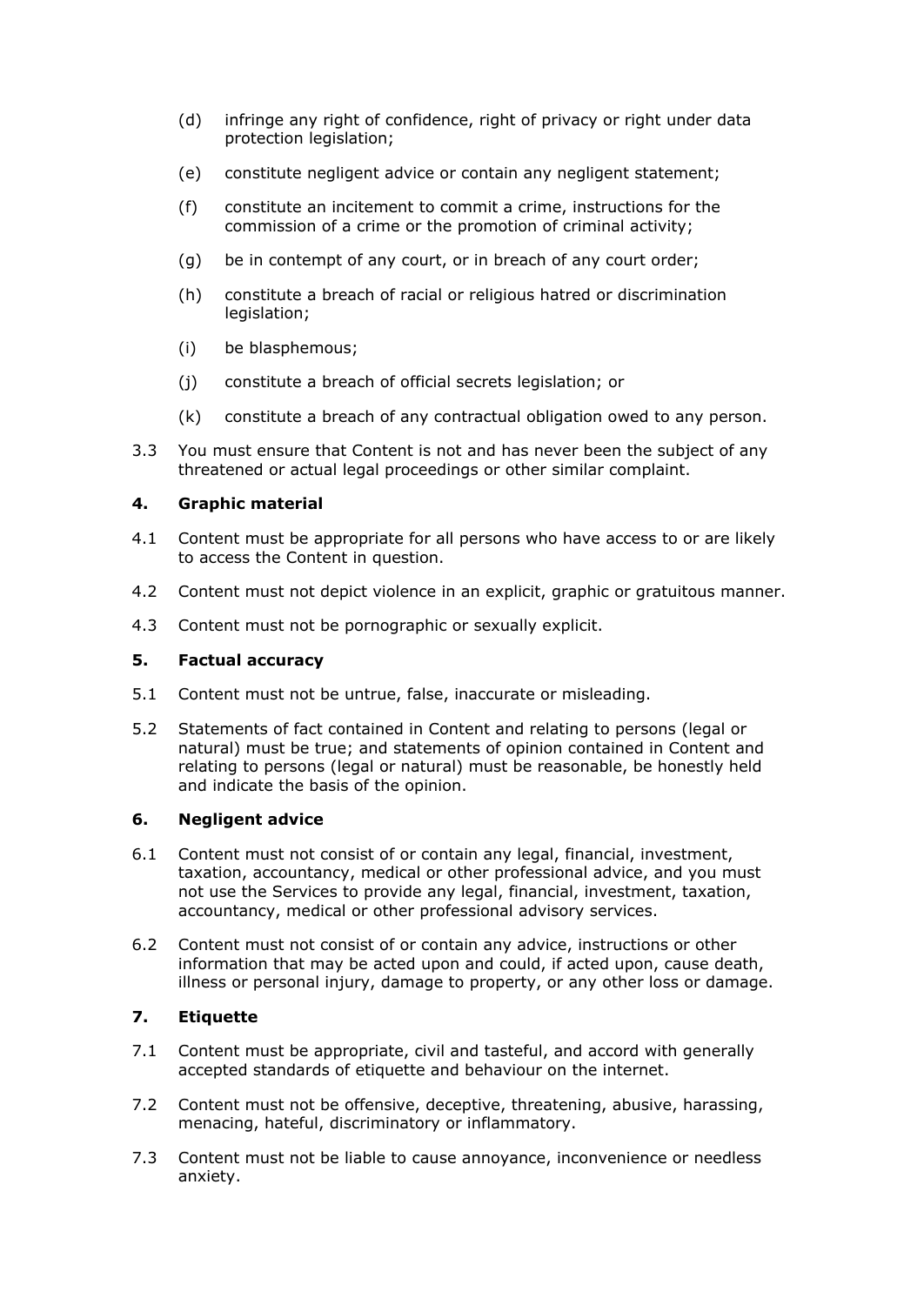- (d) infringe any right of confidence, right of privacy or right under data protection legislation;
- (e) constitute negligent advice or contain any negligent statement;
- (f) constitute an incitement to commit a crime, instructions for the commission of a crime or the promotion of criminal activity;
- (g) be in contempt of any court, or in breach of any court order;
- (h) constitute a breach of racial or religious hatred or discrimination legislation;
- (i) be blasphemous;
- (j) constitute a breach of official secrets legislation; or
- (k) constitute a breach of any contractual obligation owed to any person.
- 3.3 You must ensure that Content is not and has never been the subject of any threatened or actual legal proceedings or other similar complaint.

#### **4. Graphic material**

- 4.1 Content must be appropriate for all persons who have access to or are likely to access the Content in question.
- 4.2 Content must not depict violence in an explicit, graphic or gratuitous manner.
- 4.3 Content must not be pornographic or sexually explicit.

#### **5. Factual accuracy**

- 5.1 Content must not be untrue, false, inaccurate or misleading.
- 5.2 Statements of fact contained in Content and relating to persons (legal or natural) must be true; and statements of opinion contained in Content and relating to persons (legal or natural) must be reasonable, be honestly held and indicate the basis of the opinion.

#### **6. Negligent advice**

- 6.1 Content must not consist of or contain any legal, financial, investment, taxation, accountancy, medical or other professional advice, and you must not use the Services to provide any legal, financial, investment, taxation, accountancy, medical or other professional advisory services.
- 6.2 Content must not consist of or contain any advice, instructions or other information that may be acted upon and could, if acted upon, cause death, illness or personal injury, damage to property, or any other loss or damage.

## **7. Etiquette**

- 7.1 Content must be appropriate, civil and tasteful, and accord with generally accepted standards of etiquette and behaviour on the internet.
- 7.2 Content must not be offensive, deceptive, threatening, abusive, harassing, menacing, hateful, discriminatory or inflammatory.
- 7.3 Content must not be liable to cause annoyance, inconvenience or needless anxiety.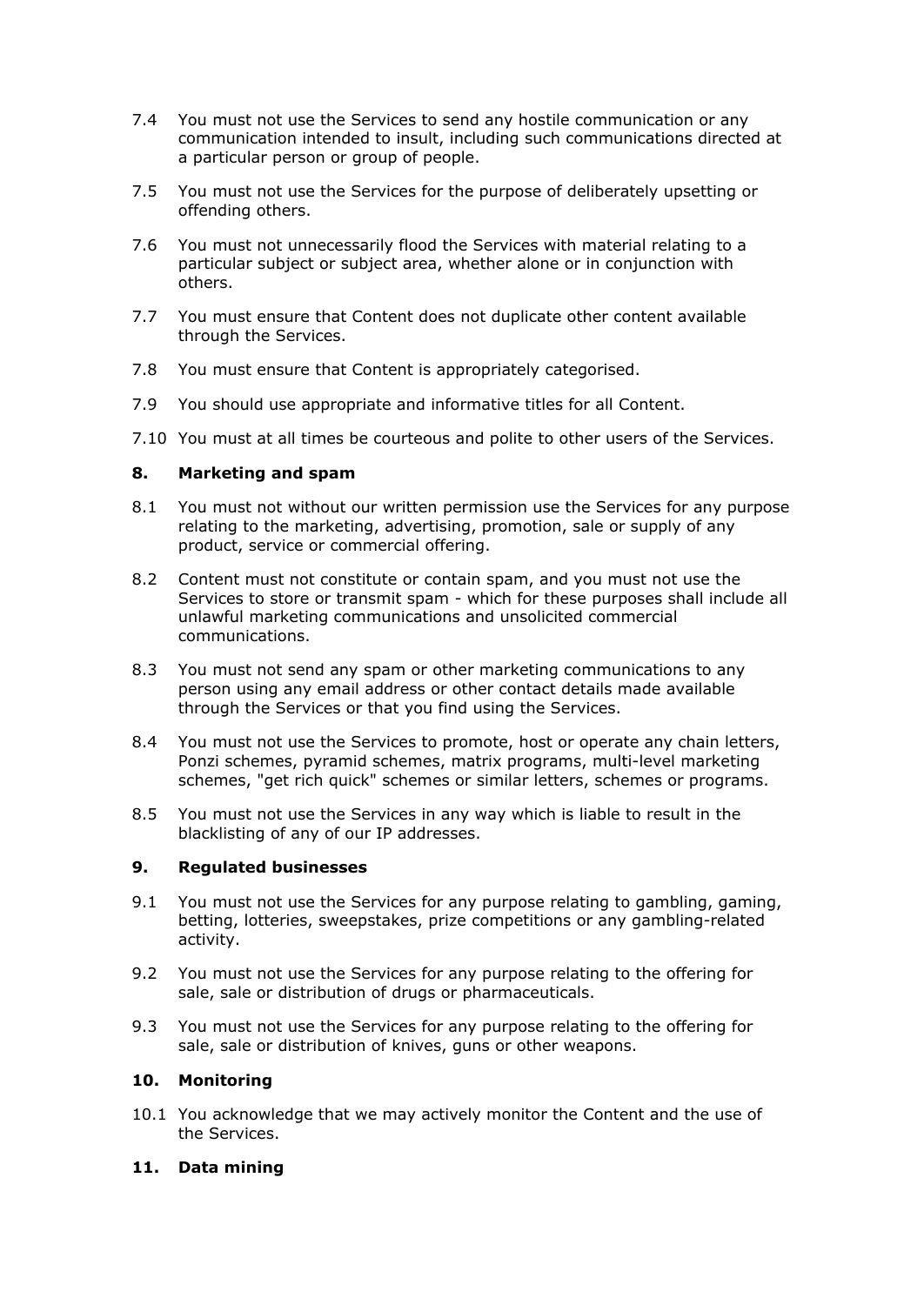- 7.4 You must not use the Services to send any hostile communication or any communication intended to insult, including such communications directed at a particular person or group of people.
- 7.5 You must not use the Services for the purpose of deliberately upsetting or offending others.
- 7.6 You must not unnecessarily flood the Services with material relating to a particular subject or subject area, whether alone or in conjunction with others.
- 7.7 You must ensure that Content does not duplicate other content available through the Services.
- 7.8 You must ensure that Content is appropriately categorised.
- 7.9 You should use appropriate and informative titles for all Content.
- 7.10 You must at all times be courteous and polite to other users of the Services.

#### **8. Marketing and spam**

- 8.1 You must not without our written permission use the Services for any purpose relating to the marketing, advertising, promotion, sale or supply of any product, service or commercial offering.
- 8.2 Content must not constitute or contain spam, and you must not use the Services to store or transmit spam - which for these purposes shall include all unlawful marketing communications and unsolicited commercial communications.
- 8.3 You must not send any spam or other marketing communications to any person using any email address or other contact details made available through the Services or that you find using the Services.
- 8.4 You must not use the Services to promote, host or operate any chain letters, Ponzi schemes, pyramid schemes, matrix programs, multi-level marketing schemes, "get rich quick" schemes or similar letters, schemes or programs.
- 8.5 You must not use the Services in any way which is liable to result in the blacklisting of any of our IP addresses.

#### **9. Regulated businesses**

- 9.1 You must not use the Services for any purpose relating to gambling, gaming, betting, lotteries, sweepstakes, prize competitions or any gambling-related activity.
- 9.2 You must not use the Services for any purpose relating to the offering for sale, sale or distribution of drugs or pharmaceuticals.
- 9.3 You must not use the Services for any purpose relating to the offering for sale, sale or distribution of knives, guns or other weapons.

#### **10. Monitoring**

10.1 You acknowledge that we may actively monitor the Content and the use of the Services.

#### **11. Data mining**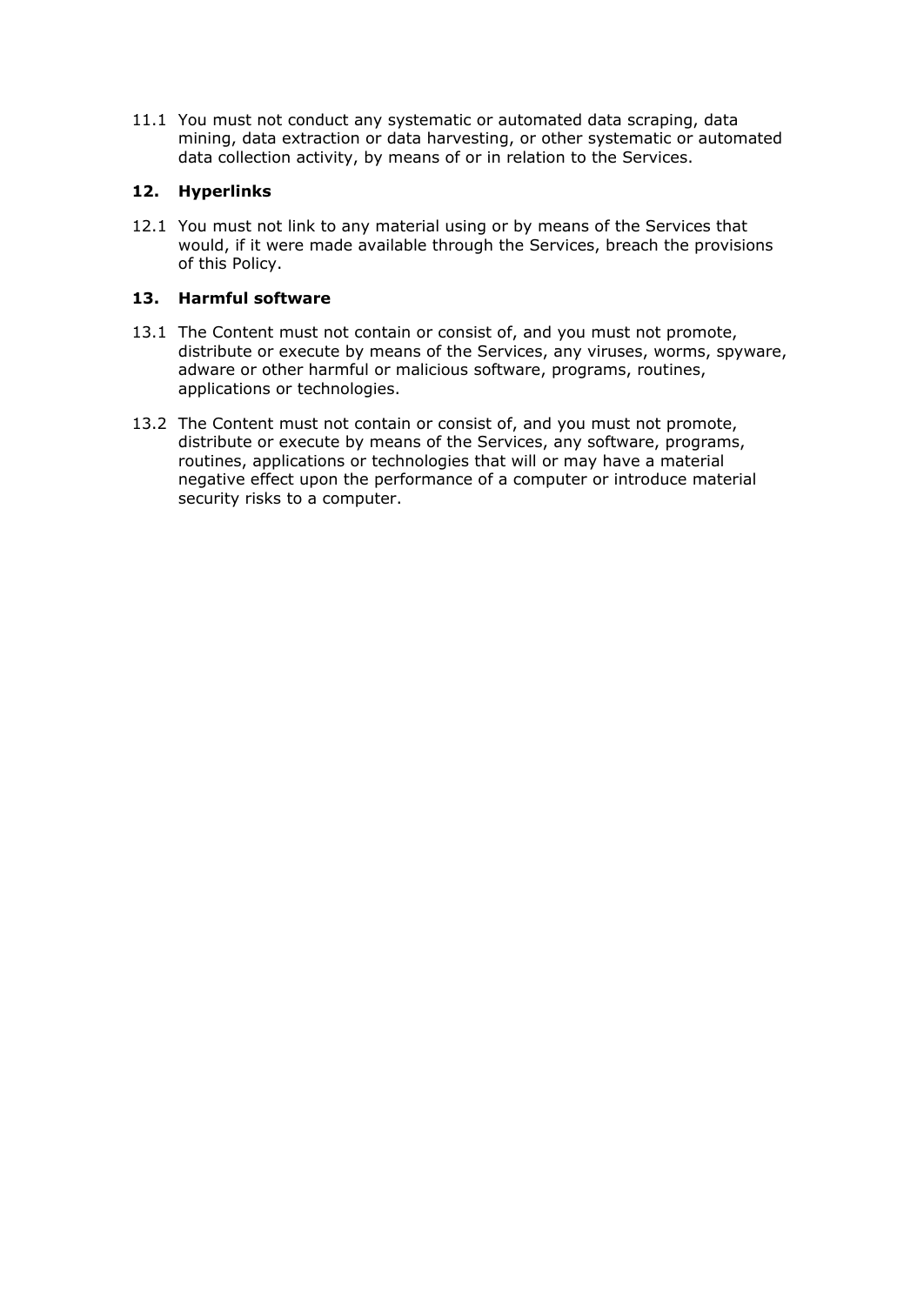11.1 You must not conduct any systematic or automated data scraping, data mining, data extraction or data harvesting, or other systematic or automated data collection activity, by means of or in relation to the Services.

## **12. Hyperlinks**

12.1 You must not link to any material using or by means of the Services that would, if it were made available through the Services, breach the provisions of this Policy.

## **13. Harmful software**

- 13.1 The Content must not contain or consist of, and you must not promote, distribute or execute by means of the Services, any viruses, worms, spyware, adware or other harmful or malicious software, programs, routines, applications or technologies.
- 13.2 The Content must not contain or consist of, and you must not promote, distribute or execute by means of the Services, any software, programs, routines, applications or technologies that will or may have a material negative effect upon the performance of a computer or introduce material security risks to a computer.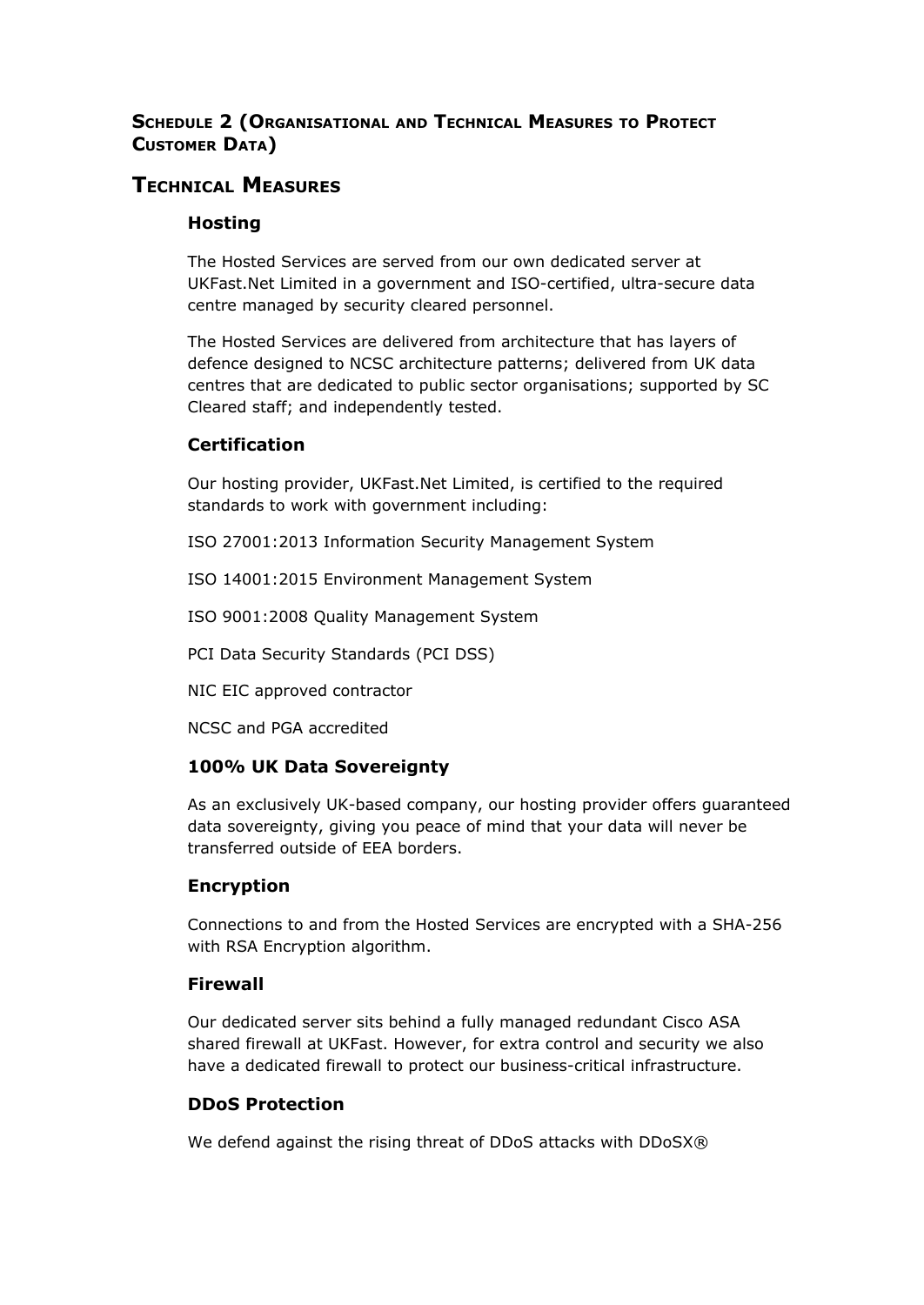## **SCHEDULE 2 (ORGANISATIONAL AND TECHNICAL MEASURES TO PROTECT CUSTOMER DATA)**

# **TECHNICAL MEASURES**

## **Hosting**

The Hosted Services are served from our own dedicated server at UKFast.Net Limited in a government and ISO-certified, ultra-secure data centre managed by security cleared personnel.

The Hosted Services are delivered from architecture that has layers of defence designed to NCSC architecture patterns; delivered from UK data centres that are dedicated to public sector organisations; supported by SC Cleared staff; and independently tested.

## **Certification**

Our hosting provider, UKFast.Net Limited, is certified to the required standards to work with government including:

ISO 27001:2013 Information Security Management System

ISO 14001:2015 Environment Management System

ISO 9001:2008 Quality Management System

PCI Data Security Standards (PCI DSS)

NIC EIC approved contractor

NCSC and PGA accredited

## **100% UK Data Sovereignty**

As an exclusively UK-based company, our hosting provider offers guaranteed data sovereignty, giving you peace of mind that your data will never be transferred outside of EEA borders.

## **Encryption**

Connections to and from the Hosted Services are encrypted with a SHA-256 with RSA Encryption algorithm.

## **Firewall**

Our dedicated server sits behind a fully managed redundant Cisco ASA shared firewall at UKFast. However, for extra control and security we also have a dedicated firewall to protect our business-critical infrastructure.

## **DDoS Protection**

We defend against the rising threat of DDoS attacks with DDoSX®